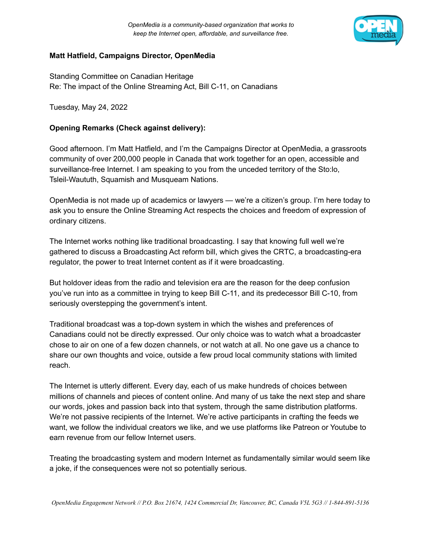

## **Matt Hatfield, Campaigns Director, OpenMedia**

Standing Committee on Canadian Heritage Re: The impact of the Online Streaming Act, Bill C-11, on Canadians

Tuesday, May 24, 2022

## **Opening Remarks (Check against delivery):**

Good afternoon. I'm Matt Hatfield, and I'm the Campaigns Director at OpenMedia, a grassroots community of over 200,000 people in Canada that work together for an open, accessible and surveillance-free Internet. I am speaking to you from the unceded territory of the Sto:lo, Tsleil-Waututh, Squamish and Musqueam Nations.

OpenMedia is not made up of academics or lawyers — we're a citizen's group. I'm here today to ask you to ensure the Online Streaming Act respects the choices and freedom of expression of ordinary citizens.

The Internet works nothing like traditional broadcasting. I say that knowing full well we're gathered to discuss a Broadcasting Act reform bill, which gives the CRTC, a broadcasting-era regulator, the power to treat Internet content as if it were broadcasting.

But holdover ideas from the radio and television era are the reason for the deep confusion you've run into as a committee in trying to keep Bill C-11, and its predecessor Bill C-10, from seriously overstepping the government's intent.

Traditional broadcast was a top-down system in which the wishes and preferences of Canadians could not be directly expressed. Our only choice was to watch what a broadcaster chose to air on one of a few dozen channels, or not watch at all. No one gave us a chance to share our own thoughts and voice, outside a few proud local community stations with limited reach.

The Internet is utterly different. Every day, each of us make hundreds of choices between millions of channels and pieces of content online. And many of us take the next step and share our words, jokes and passion back into that system, through the same distribution platforms. We're not passive recipients of the Internet. We're active participants in crafting the feeds we want, we follow the individual creators we like, and we use platforms like Patreon or Youtube to earn revenue from our fellow Internet users.

Treating the broadcasting system and modern Internet as fundamentally similar would seem like a joke, if the consequences were not so potentially serious.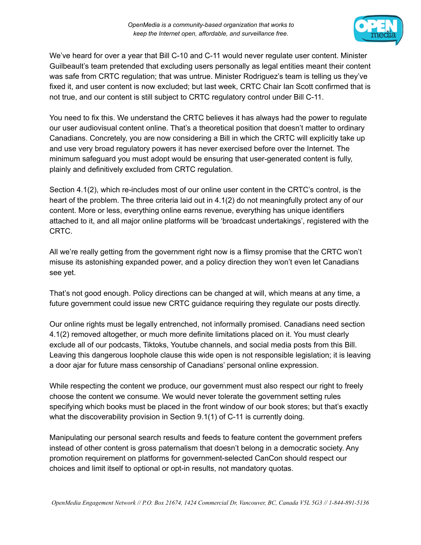

We've heard for over a year that Bill C-10 and C-11 would never regulate user content. Minister Guilbeault's team pretended that excluding users personally as legal entities meant their content was safe from CRTC regulation; that was untrue. Minister Rodriguez's team is telling us they've fixed it, and user content is now excluded; but last week, CRTC Chair Ian Scott confirmed that is not true, and our content is still subject to CRTC regulatory control under Bill C-11.

You need to fix this. We understand the CRTC believes it has always had the power to regulate our user audiovisual content online. That's a theoretical position that doesn't matter to ordinary Canadians. Concretely, you are now considering a Bill in which the CRTC will explicitly take up and use very broad regulatory powers it has never exercised before over the Internet. The minimum safeguard you must adopt would be ensuring that user-generated content is fully, plainly and definitively excluded from CRTC regulation.

Section 4.1(2), which re-includes most of our online user content in the CRTC's control, is the heart of the problem. The three criteria laid out in 4.1(2) do not meaningfully protect any of our content. More or less, everything online earns revenue, everything has unique identifiers attached to it, and all major online platforms will be 'broadcast undertakings', registered with the CRTC.

All we're really getting from the government right now is a flimsy promise that the CRTC won't misuse its astonishing expanded power, and a policy direction they won't even let Canadians see yet.

That's not good enough. Policy directions can be changed at will, which means at any time, a future government could issue new CRTC guidance requiring they regulate our posts directly.

Our online rights must be legally entrenched, not informally promised. Canadians need section 4.1(2) removed altogether, or much more definite limitations placed on it. You must clearly exclude all of our podcasts, Tiktoks, Youtube channels, and social media posts from this Bill. Leaving this dangerous loophole clause this wide open is not responsible legislation; it is leaving a door ajar for future mass censorship of Canadians' personal online expression.

While respecting the content we produce, our government must also respect our right to freely choose the content we consume. We would never tolerate the government setting rules specifying which books must be placed in the front window of our book stores; but that's exactly what the discoverability provision in Section 9.1(1) of C-11 is currently doing.

Manipulating our personal search results and feeds to feature content the government prefers instead of other content is gross paternalism that doesn't belong in a democratic society. Any promotion requirement on platforms for government-selected CanCon should respect our choices and limit itself to optional or opt-in results, not mandatory quotas.